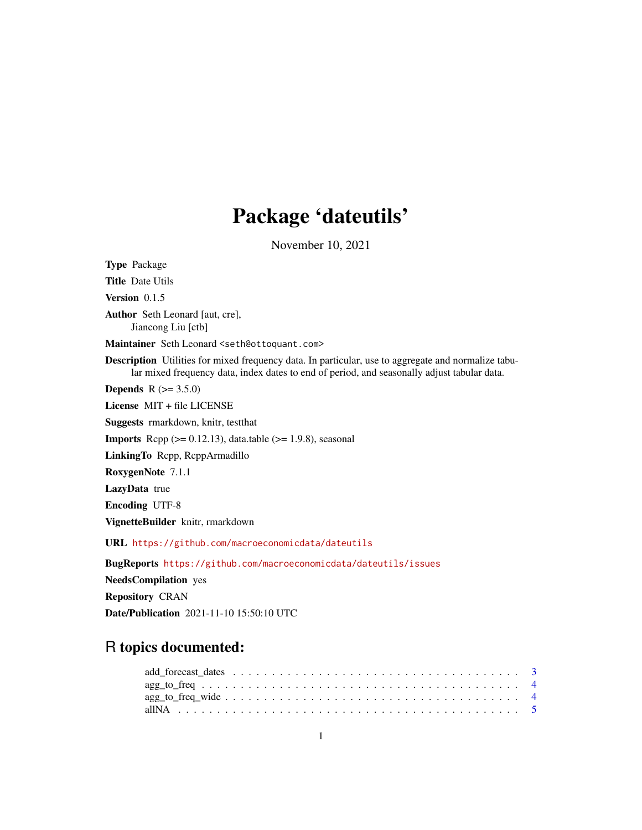# Package 'dateutils'

November 10, 2021

Type Package Title Date Utils Version 0.1.5 Author Seth Leonard [aut, cre], Jiancong Liu [ctb] Maintainer Seth Leonard <seth@ottoquant.com> Description Utilities for mixed frequency data. In particular, use to aggregate and normalize tabular mixed frequency data, index dates to end of period, and seasonally adjust tabular data. **Depends** R  $(>= 3.5.0)$ License MIT + file LICENSE Suggests rmarkdown, knitr, testthat **Imports** Rcpp  $(>= 0.12.13)$ , data.table  $(>= 1.9.8)$ , seasonal LinkingTo Rcpp, RcppArmadillo RoxygenNote 7.1.1 LazyData true Encoding UTF-8 VignetteBuilder knitr, rmarkdown URL <https://github.com/macroeconomicdata/dateutils> BugReports <https://github.com/macroeconomicdata/dateutils/issues> NeedsCompilation yes Repository CRAN

R topics documented:

Date/Publication 2021-11-10 15:50:10 UTC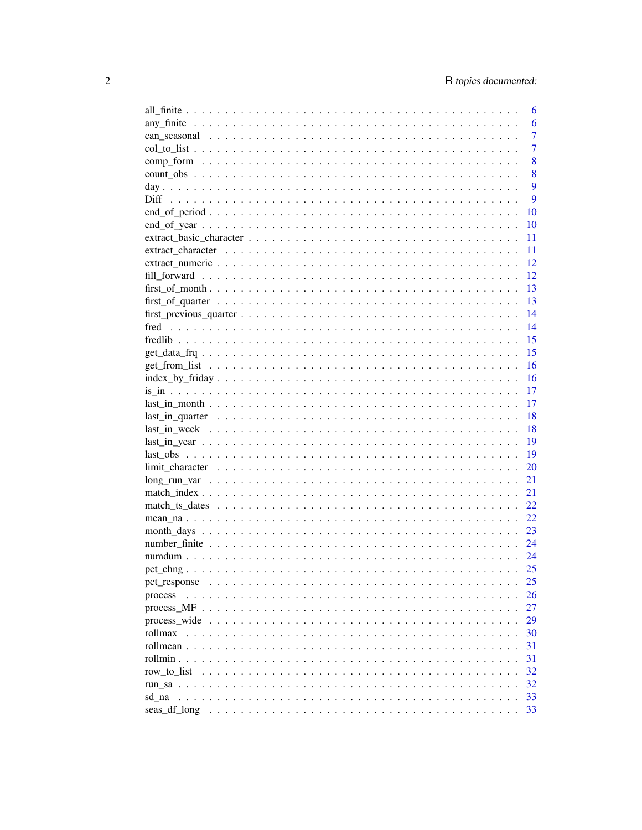|                                                                                                                   | 6              |
|-------------------------------------------------------------------------------------------------------------------|----------------|
|                                                                                                                   | 6              |
|                                                                                                                   | $\overline{7}$ |
|                                                                                                                   | $\overline{7}$ |
|                                                                                                                   | 8              |
|                                                                                                                   | 8              |
|                                                                                                                   | 9              |
|                                                                                                                   | 9              |
|                                                                                                                   | 10             |
|                                                                                                                   | 10             |
|                                                                                                                   | 11             |
|                                                                                                                   | 11             |
|                                                                                                                   | 12             |
|                                                                                                                   | 12             |
|                                                                                                                   | 13             |
|                                                                                                                   | 13             |
|                                                                                                                   | 14             |
|                                                                                                                   | 14             |
|                                                                                                                   | 15             |
|                                                                                                                   | 15             |
|                                                                                                                   | 16             |
|                                                                                                                   | 16             |
|                                                                                                                   | 17             |
|                                                                                                                   | 17             |
| $last_in_quarter \dots \dots \dots \dots \dots \dots \dots \dots \dots \dots \dots \dots \dots \dots \dots \dots$ | 18             |
|                                                                                                                   | 18             |
|                                                                                                                   | 19             |
|                                                                                                                   | 19             |
|                                                                                                                   | 20             |
|                                                                                                                   | 21             |
|                                                                                                                   | 21             |
|                                                                                                                   | 22             |
|                                                                                                                   | 22             |
| $month\_days \ldots \ldots \ldots \ldots \ldots \ldots \ldots \ldots \ldots \ldots \ldots \ldots \ldots$          | 23             |
|                                                                                                                   | 24             |
|                                                                                                                   | 24             |
|                                                                                                                   | 25             |
|                                                                                                                   |                |
|                                                                                                                   | 25<br>26       |
|                                                                                                                   | 27             |
|                                                                                                                   | 29             |
| rollmax                                                                                                           | 30             |
|                                                                                                                   |                |
|                                                                                                                   | 31             |
|                                                                                                                   | 31             |
| row to list                                                                                                       | 32             |
|                                                                                                                   | 32             |
| sd na                                                                                                             | 33             |
|                                                                                                                   | 33             |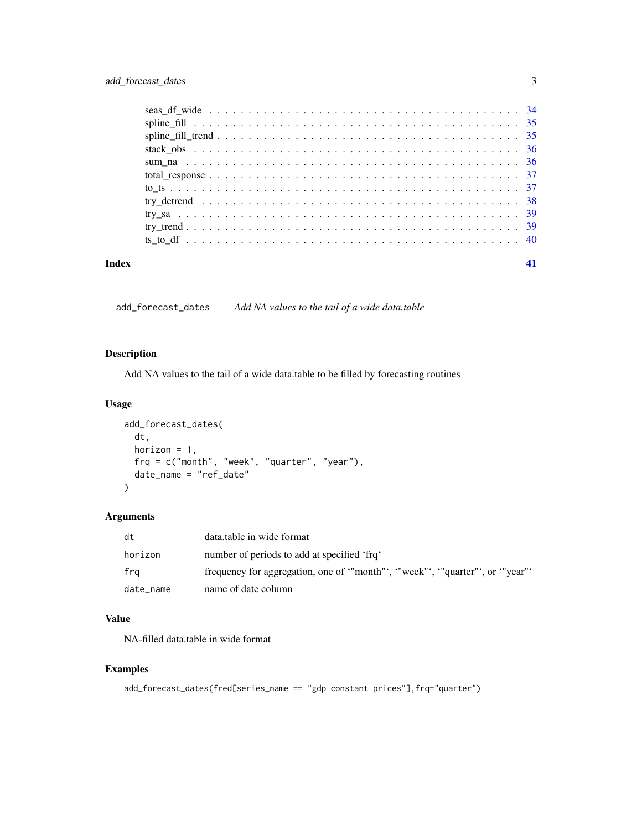<span id="page-2-0"></span>

| Index |  |
|-------|--|

add\_forecast\_dates *Add NA values to the tail of a wide data.table*

# Description

Add NA values to the tail of a wide data.table to be filled by forecasting routines

### Usage

```
add_forecast_dates(
  dt,
 horizon = 1,
 frq = c("month", "week", "quarter", "year"),
 date_name = "ref_date"
)
```
# Arguments

| dt        | data.table in wide format                                                 |
|-----------|---------------------------------------------------------------------------|
| horizon   | number of periods to add at specified 'frq'                               |
| fra       | frequency for aggregation, one of "month", "week"', "quarter"', or "year" |
| date_name | name of date column                                                       |

#### Value

NA-filled data.table in wide format

```
add_forecast_dates(fred[series_name == "gdp constant prices"],frq="quarter")
```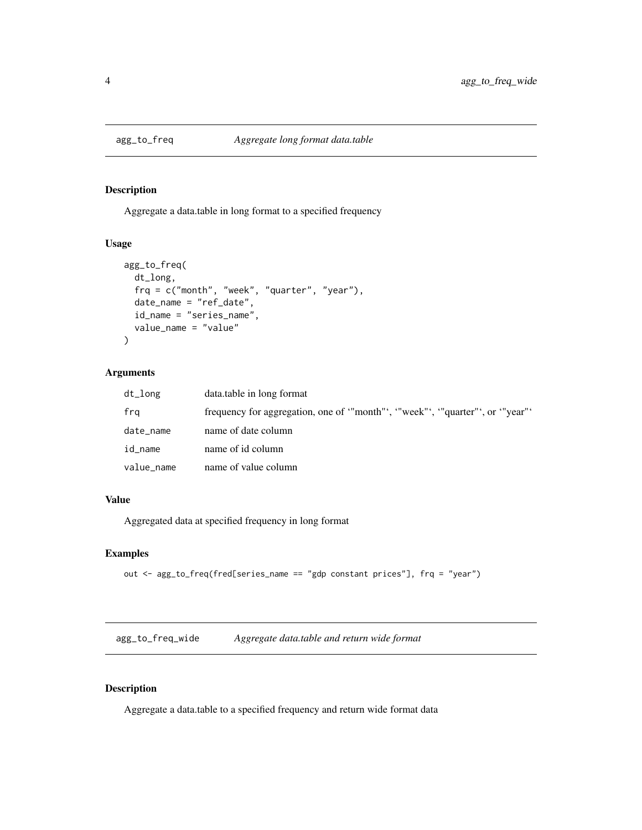<span id="page-3-0"></span>

Aggregate a data.table in long format to a specified frequency

# Usage

```
agg_to_freq(
 dt_long,
  frq = c("month", "week", "quarter", "year"),
 date_name = "ref_date",
  id_name = "series_name",
  value_name = "value"
)
```
# Arguments

| dt_long    | data.table in long format                                                 |
|------------|---------------------------------------------------------------------------|
| fra        | frequency for aggregation, one of "month", "week"', "quarter"', or "year" |
| date_name  | name of date column                                                       |
| id_name    | name of id column                                                         |
| value_name | name of value column                                                      |

# Value

Aggregated data at specified frequency in long format

# Examples

```
out <- agg_to_freq(fred[series_name == "gdp constant prices"], frq = "year")
```
agg\_to\_freq\_wide *Aggregate data.table and return wide format*

#### Description

Aggregate a data.table to a specified frequency and return wide format data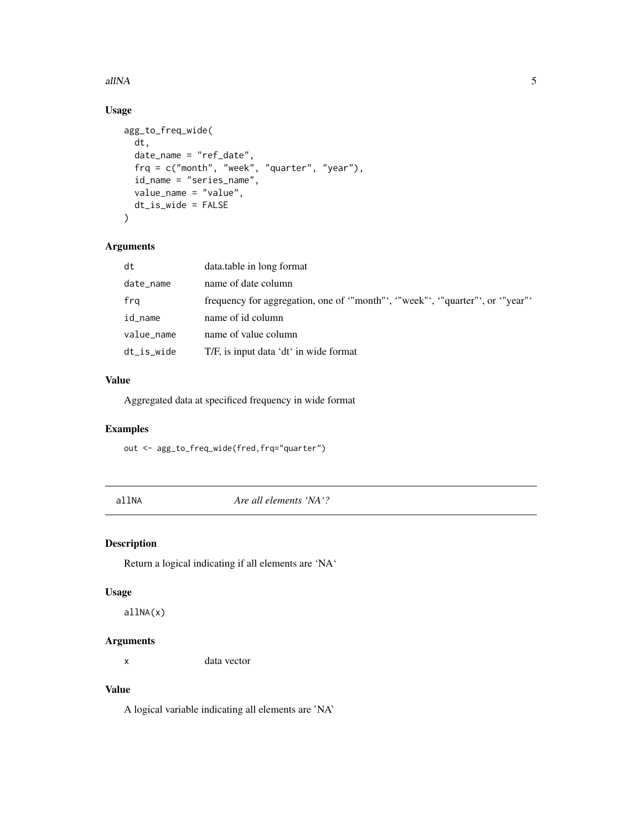#### <span id="page-4-0"></span> $allNA$  5

# Usage

```
agg_to_freq_wide(
  dt,
  date_name = "ref_date",
  frq = c("month", "week", "quarter", "year"),
  id_name = "series_name",
 value_name = "value",
 dt_is_wide = FALSE
\mathcal{L}
```
#### Arguments

| dt         | data.table in long format                                               |
|------------|-------------------------------------------------------------------------|
| date_name  | name of date column                                                     |
| frq        | frequency for aggregation, one of "month", "week", "quarter", or "year" |
| id_name    | name of id column                                                       |
| value_name | name of value column                                                    |
| dt_is_wide | T/F, is input data 'dt' in wide format                                  |

# Value

Aggregated data at specificed frequency in wide format

#### Examples

out <- agg\_to\_freq\_wide(fred,frq="quarter")

allNA *Are all elements 'NA'?*

#### Description

Return a logical indicating if all elements are 'NA'

#### Usage

allNA(x)

# Arguments

x data vector

# Value

A logical variable indicating all elements are 'NA'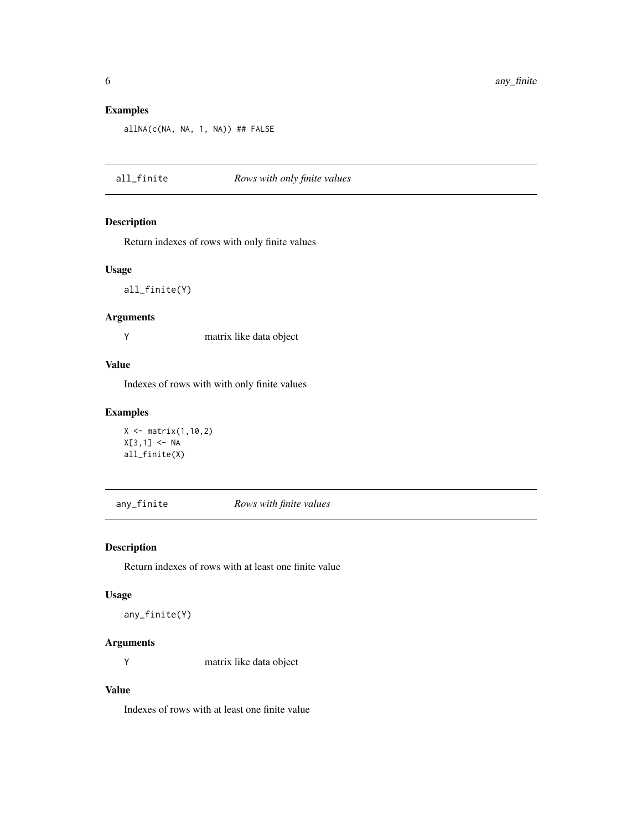# Examples

```
allNA(c(NA, NA, 1, NA)) ## FALSE
```
all\_finite *Rows with only finite values*

# Description

Return indexes of rows with only finite values

#### Usage

all\_finite(Y)

# Arguments

Y matrix like data object

# Value

Indexes of rows with with only finite values

# Examples

```
X \leftarrow matrix(1, 10, 2)X[3,1] < -NAall_finite(X)
```
any\_finite *Rows with finite values*

# Description

Return indexes of rows with at least one finite value

#### Usage

any\_finite(Y)

# Arguments

Y matrix like data object

## Value

Indexes of rows with at least one finite value

<span id="page-5-0"></span>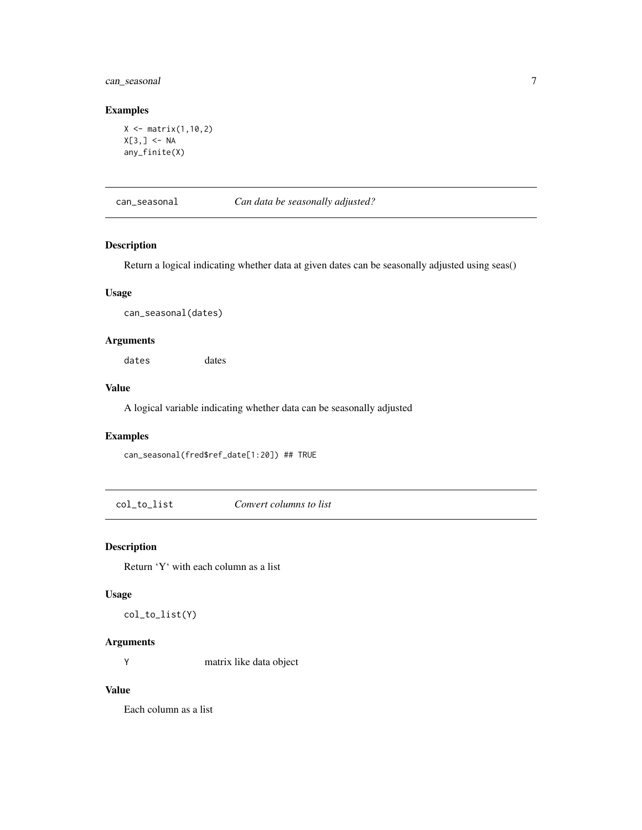# <span id="page-6-0"></span>can\_seasonal 7

#### Examples

```
X \leftarrow matrix(1, 10, 2)X[3, ] \leftarrow NAany_finite(X)
```
can\_seasonal *Can data be seasonally adjusted?*

#### Description

Return a logical indicating whether data at given dates can be seasonally adjusted using seas()

#### Usage

can\_seasonal(dates)

#### Arguments

dates dates

#### Value

A logical variable indicating whether data can be seasonally adjusted

#### Examples

can\_seasonal(fred\$ref\_date[1:20]) ## TRUE

col\_to\_list *Convert columns to list*

#### Description

Return 'Y' with each column as a list

#### Usage

col\_to\_list(Y)

# Arguments

Y matrix like data object

#### Value

Each column as a list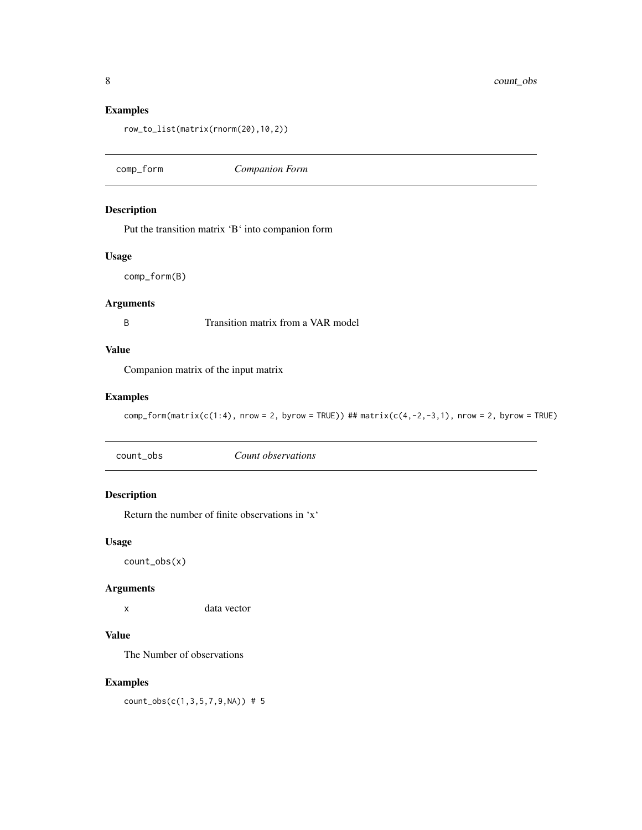<span id="page-7-0"></span>8 count\_obs

#### Examples

row\_to\_list(matrix(rnorm(20),10,2))

comp\_form *Companion Form*

#### Description

Put the transition matrix 'B' into companion form

#### Usage

comp\_form(B)

#### Arguments

B Transition matrix from a VAR model

# Value

Companion matrix of the input matrix

# Examples

 $comp-form(matrix(c(1:4), nrow = 2, byrow = TRUE))$  ##  $matrix(c(4,-2,-3,1), nrow = 2, byrow = TRUE)$ 

### Description

Return the number of finite observations in 'x'

#### Usage

count\_obs(x)

#### Arguments

x data vector

# Value

The Number of observations

#### Examples

count\_obs(c(1,3,5,7,9,NA)) # 5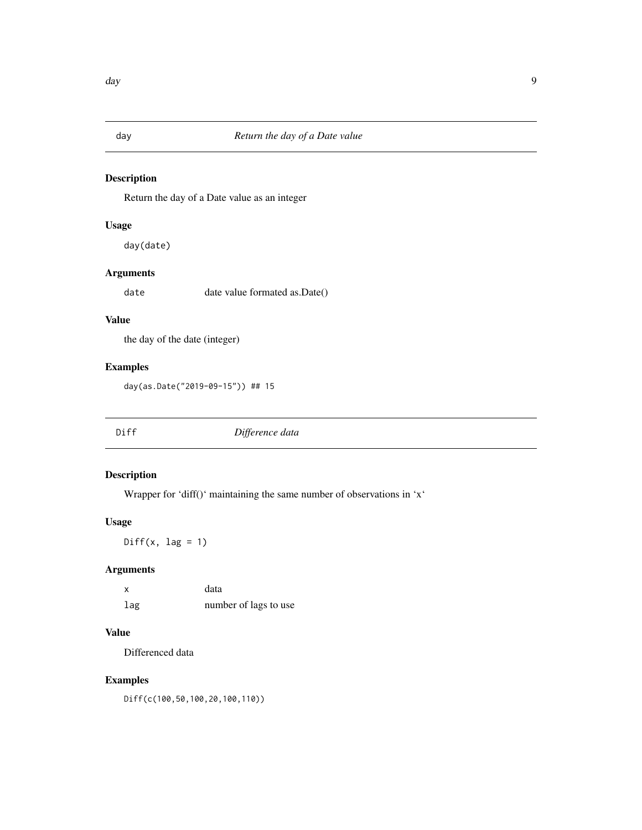<span id="page-8-0"></span>

Return the day of a Date value as an integer

# Usage

day(date)

# Arguments

date date value formated as.Date()

# Value

the day of the date (integer)

# Examples

day(as.Date("2019-09-15")) ## 15

| Diff | Difference data |
|------|-----------------|
|------|-----------------|

# Description

Wrapper for 'diff()' maintaining the same number of observations in 'x'

#### Usage

 $Diff(x, lag = 1)$ 

#### Arguments

x data lag number of lags to use

# Value

Differenced data

# Examples

Diff(c(100,50,100,20,100,110))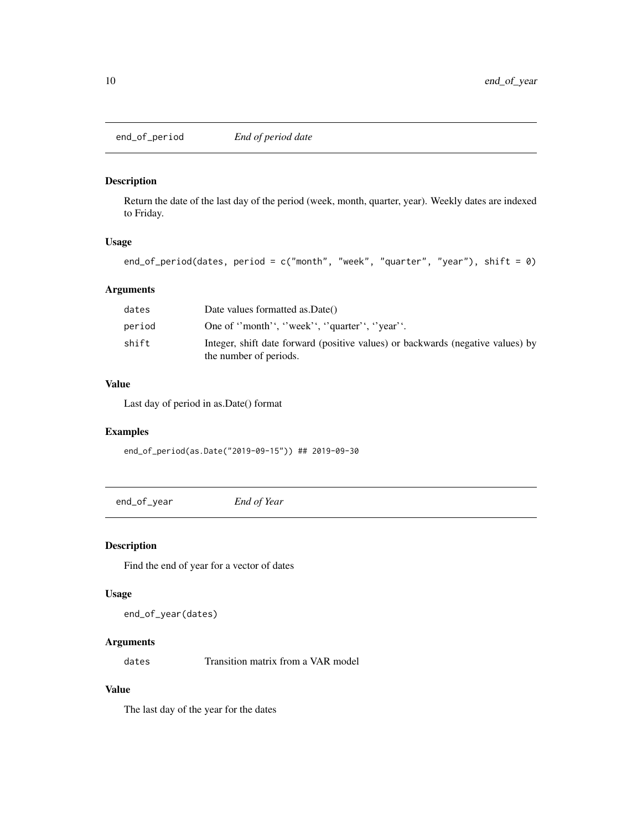<span id="page-9-0"></span>end\_of\_period *End of period date*

# Description

Return the date of the last day of the period (week, month, quarter, year). Weekly dates are indexed to Friday.

# Usage

```
end_of_period(dates, period = c("month", "week", "quarter", "year"), shift = \emptyset)
```
# Arguments

| dates  | Date values formatted as Date()                                                                           |
|--------|-----------------------------------------------------------------------------------------------------------|
| period | One of "month", "week", "quarter", "year".                                                                |
| shift  | Integer, shift date forward (positive values) or backwards (negative values) by<br>the number of periods. |

# Value

Last day of period in as.Date() format

# Examples

end\_of\_period(as.Date("2019-09-15")) ## 2019-09-30

end\_of\_year *End of Year*

# Description

Find the end of year for a vector of dates

#### Usage

```
end_of_year(dates)
```
# Arguments

dates Transition matrix from a VAR model

## Value

The last day of the year for the dates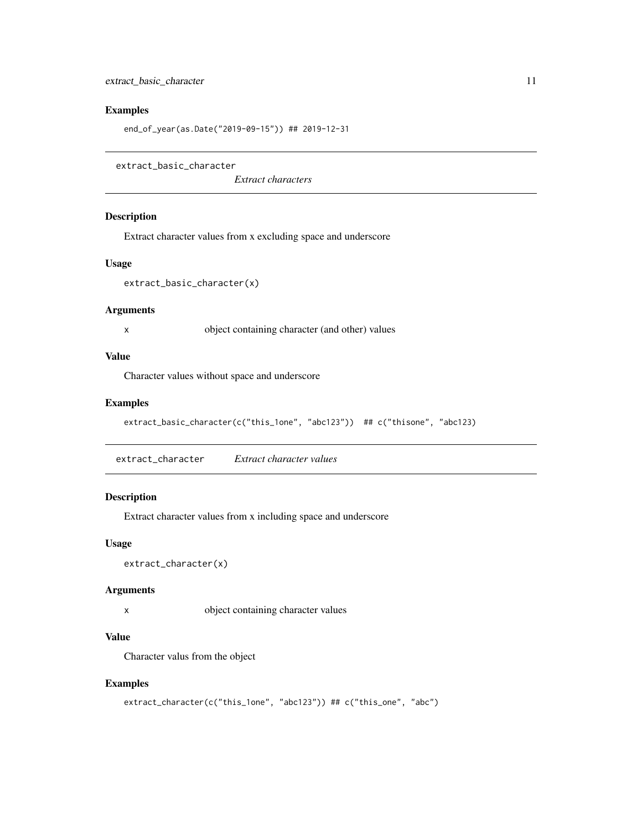# <span id="page-10-0"></span>Examples

end\_of\_year(as.Date("2019-09-15")) ## 2019-12-31

```
extract_basic_character
```
*Extract characters*

#### Description

Extract character values from x excluding space and underscore

#### Usage

```
extract_basic_character(x)
```
#### Arguments

x object containing character (and other) values

# Value

Character values without space and underscore

# Examples

```
extract_basic_character(c("this_1one", "abc123")) ## c("thisone", "abc123)
```
extract\_character *Extract character values*

# Description

Extract character values from x including space and underscore

#### Usage

```
extract_character(x)
```
#### Arguments

x object containing character values

### Value

Character valus from the object

```
extract_character(c("this_1one", "abc123")) ## c("this_one", "abc")
```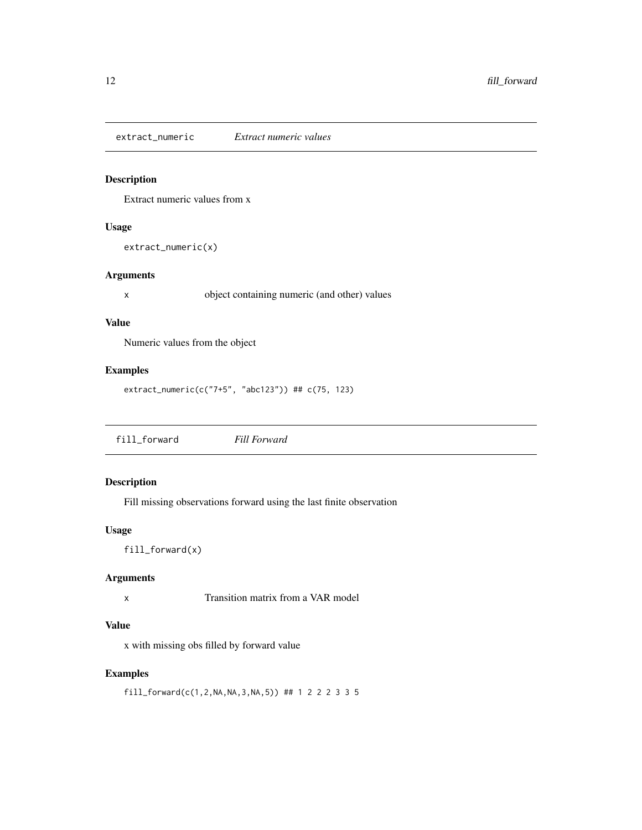<span id="page-11-0"></span>extract\_numeric *Extract numeric values*

# Description

Extract numeric values from x

# Usage

```
extract_numeric(x)
```
# Arguments

x object containing numeric (and other) values

# Value

Numeric values from the object

#### Examples

```
extract_numeric(c("7+5", "abc123")) ## c(75, 123)
```
fill\_forward *Fill Forward*

# Description

Fill missing observations forward using the last finite observation

#### Usage

fill\_forward(x)

# Arguments

x Transition matrix from a VAR model

# Value

x with missing obs filled by forward value

# Examples

fill\_forward(c(1,2,NA,NA,3,NA,5)) ## 1 2 2 2 3 3 5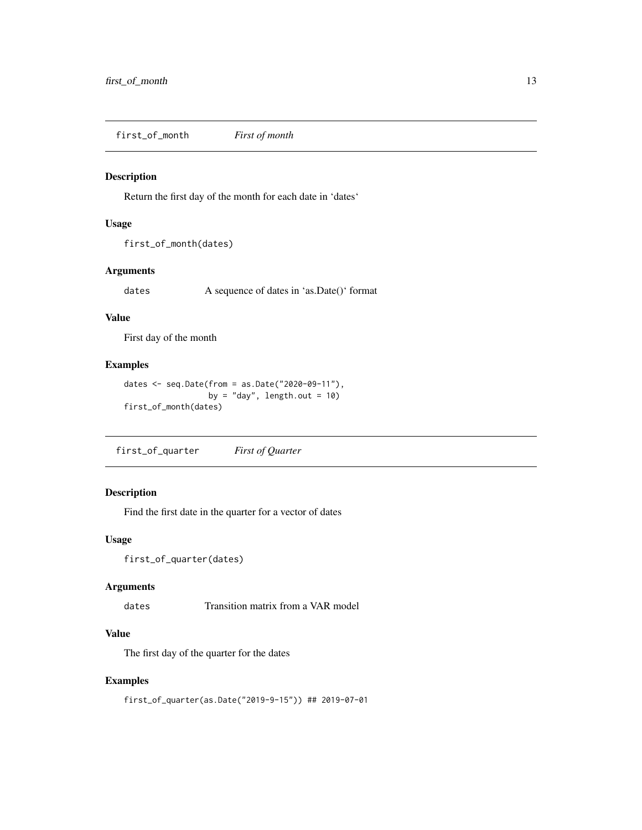<span id="page-12-0"></span>first\_of\_month *First of month*

#### Description

Return the first day of the month for each date in 'dates'

#### Usage

```
first_of_month(dates)
```
# Arguments

dates A sequence of dates in 'as.Date()' format

#### Value

First day of the month

#### Examples

```
dates <- seq.Date(from = as.Date("2020-09-11"),
                  by = "day", length.out = 10)
first_of_month(dates)
```
first\_of\_quarter *First of Quarter*

# Description

Find the first date in the quarter for a vector of dates

#### Usage

```
first_of_quarter(dates)
```
#### Arguments

dates Transition matrix from a VAR model

#### Value

The first day of the quarter for the dates

#### Examples

first\_of\_quarter(as.Date("2019-9-15")) ## 2019-07-01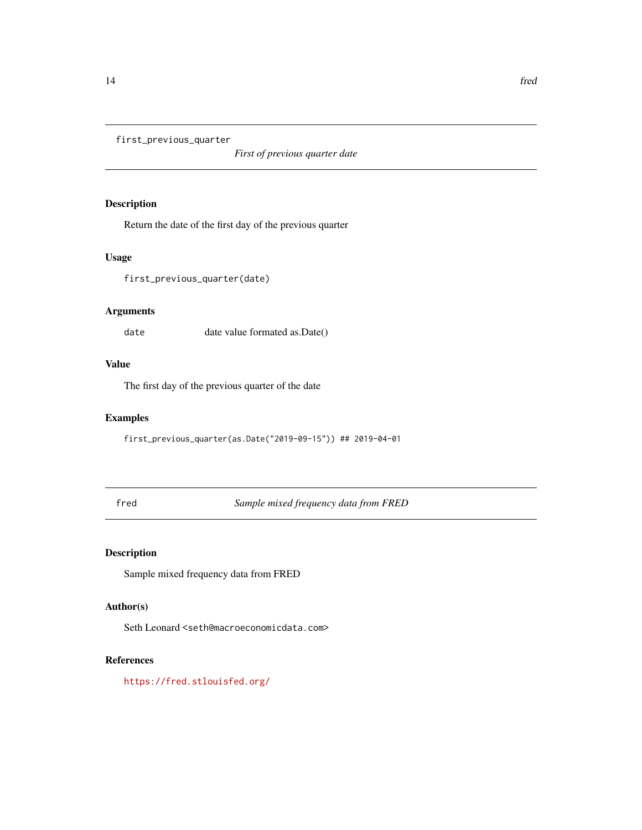<span id="page-13-0"></span>first\_previous\_quarter

*First of previous quarter date*

# Description

Return the date of the first day of the previous quarter

#### Usage

first\_previous\_quarter(date)

# Arguments

date date value formated as.Date()

# Value

The first day of the previous quarter of the date

# Examples

first\_previous\_quarter(as.Date("2019-09-15")) ## 2019-04-01

fred *Sample mixed frequency data from FRED*

# Description

Sample mixed frequency data from FRED

# Author(s)

Seth Leonard <seth@macroeconomicdata.com>

#### References

<https://fred.stlouisfed.org/>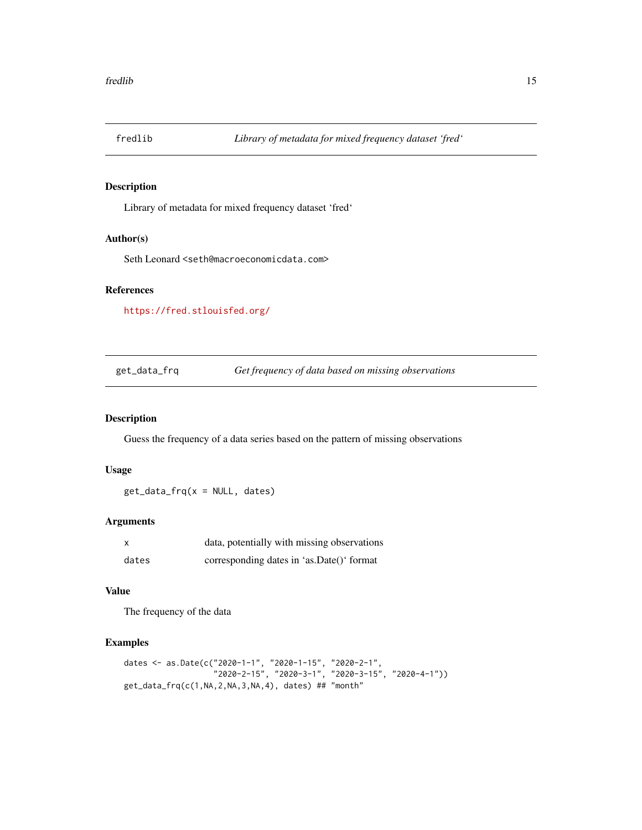<span id="page-14-0"></span>

Library of metadata for mixed frequency dataset 'fred'

#### Author(s)

Seth Leonard <seth@macroeconomicdata.com>

#### References

<https://fred.stlouisfed.org/>

get\_data\_frq *Get frequency of data based on missing observations*

# Description

Guess the frequency of a data series based on the pattern of missing observations

#### Usage

get\_data\_frq(x = NULL, dates)

#### Arguments

|       | data, potentially with missing observations |
|-------|---------------------------------------------|
| dates | corresponding dates in 'as.Date()' format   |

#### Value

The frequency of the data

```
dates <- as.Date(c("2020-1-1", "2020-1-15", "2020-2-1",
                   "2020-2-15", "2020-3-1", "2020-3-15", "2020-4-1"))
get_data_frq(c(1,NA,2,NA,3,NA,4), dates) ## "month"
```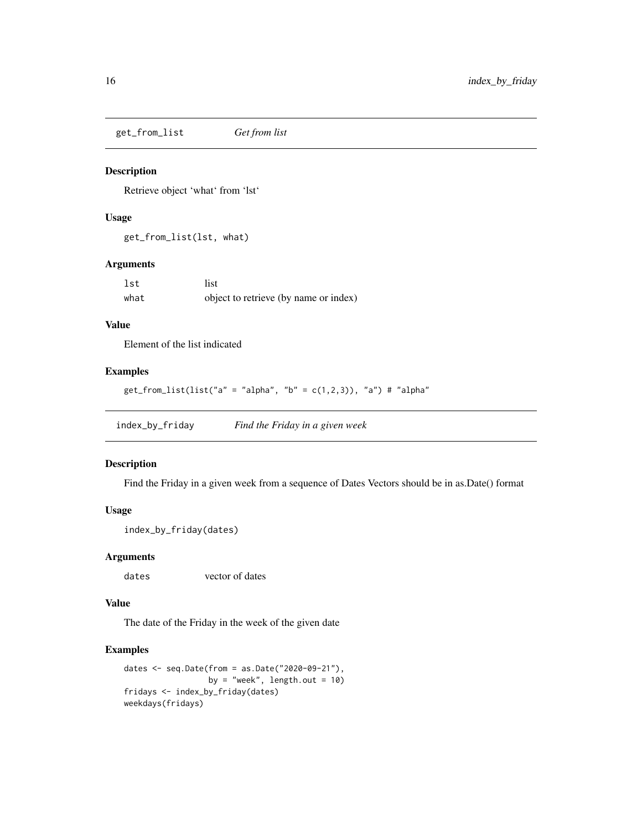<span id="page-15-0"></span>get\_from\_list *Get from list*

#### Description

Retrieve object 'what' from 'lst'

#### Usage

get\_from\_list(lst, what)

#### Arguments

| lst  | list                                  |
|------|---------------------------------------|
| what | object to retrieve (by name or index) |

#### Value

Element of the list indicated

#### Examples

```
get\_from\_list(list("a" = "alpha", "b" = c(1,2,3)), "a") # "alpha"
```
index\_by\_friday *Find the Friday in a given week*

#### Description

Find the Friday in a given week from a sequence of Dates Vectors should be in as. Date() format

#### Usage

```
index_by_friday(dates)
```
#### Arguments

dates vector of dates

#### Value

The date of the Friday in the week of the given date

```
dates <- seq.Date(from = as.Date("2020-09-21"),
                  by = "week", length.out = 10)
fridays <- index_by_friday(dates)
weekdays(fridays)
```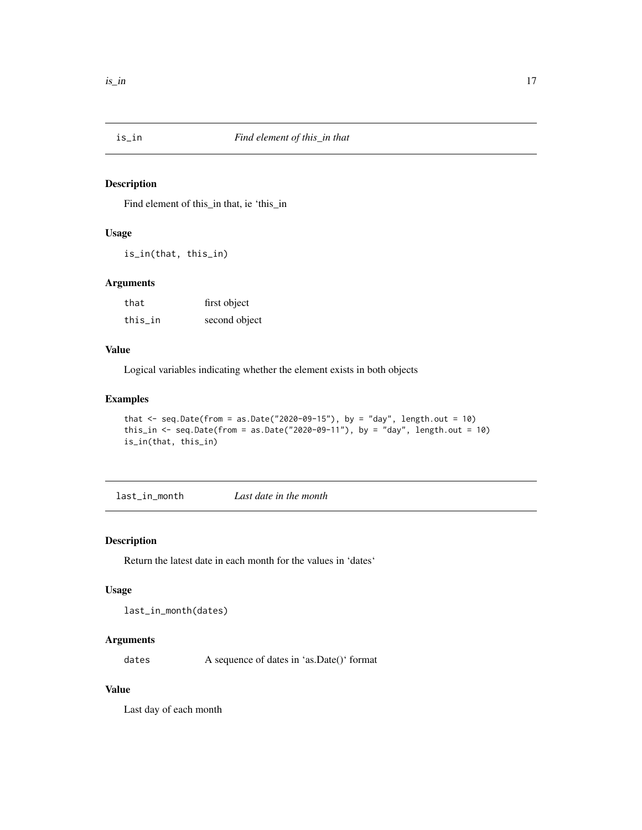<span id="page-16-0"></span>

Find element of this\_in that, ie 'this\_in

#### Usage

is\_in(that, this\_in)

#### Arguments

| that    | first object  |
|---------|---------------|
| this_in | second object |

# Value

Logical variables indicating whether the element exists in both objects

#### Examples

```
that \leq seq.Date(from = as.Date("2020-09-15"), by = "day", length.out = 10)
this_in <- seq.Date(from = as.Date("2020-09-11"), by = "day", length.out = 10)
is_in(that, this_in)
```
last\_in\_month *Last date in the month*

#### Description

Return the latest date in each month for the values in 'dates'

#### Usage

```
last_in_month(dates)
```
# Arguments

dates A sequence of dates in 'as.Date()' format

#### Value

Last day of each month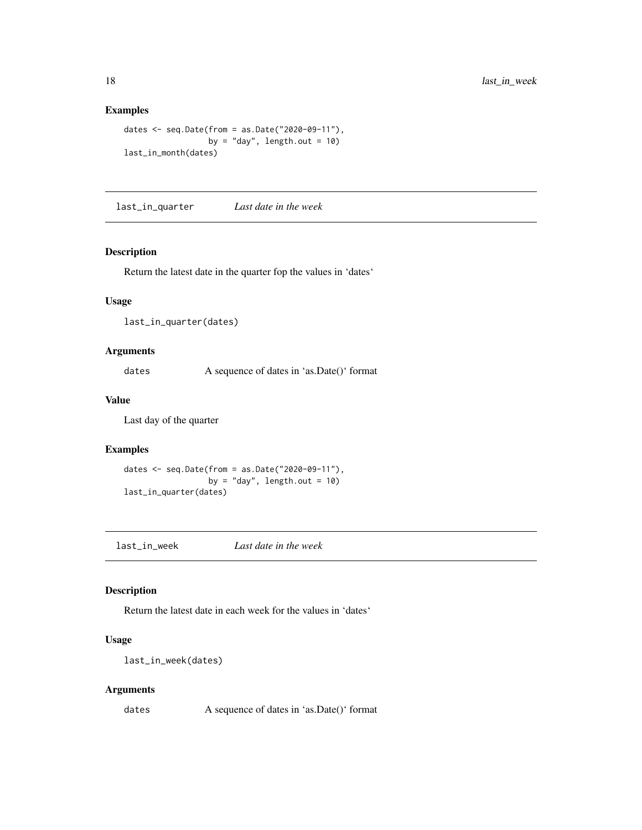#### Examples

```
dates <- seq.Date(from = as.Date("2020-09-11"),
                 by = "day", length.out = 10)
last_in_month(dates)
```
last\_in\_quarter *Last date in the week*

#### Description

Return the latest date in the quarter fop the values in 'dates'

#### Usage

last\_in\_quarter(dates)

#### Arguments

dates A sequence of dates in 'as.Date()' format

#### Value

Last day of the quarter

# Examples

```
dates <- seq.Date(from = as.Date("2020-09-11"),
                  by = "day", length.out = 10)
last_in_quarter(dates)
```
last\_in\_week *Last date in the week*

#### Description

Return the latest date in each week for the values in 'dates'

# Usage

last\_in\_week(dates)

## Arguments

dates A sequence of dates in 'as.Date()' format

<span id="page-17-0"></span>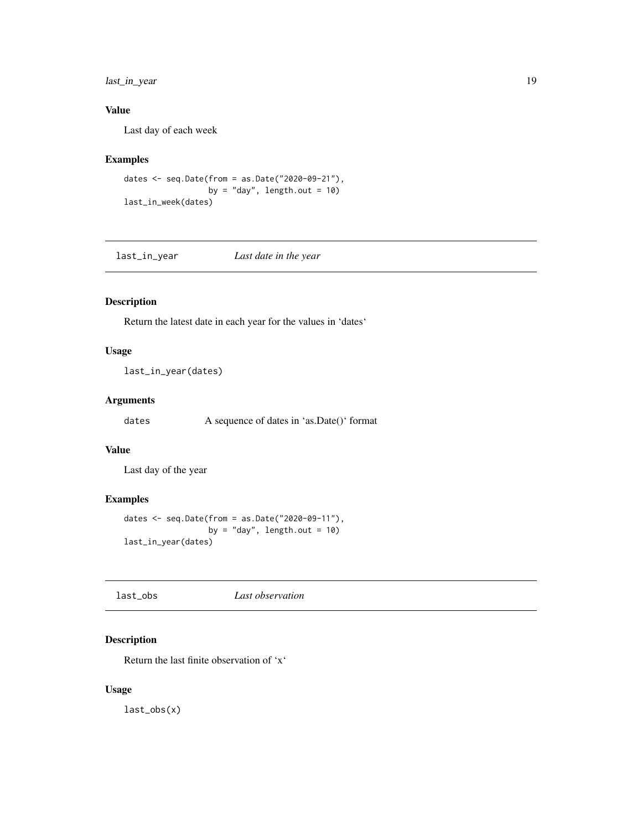# <span id="page-18-0"></span>last\_in\_year 19

# Value

Last day of each week

# Examples

```
dates <- seq.Date(from = as.Date("2020-09-21"),
                  by = "day", length.out = 10)
last_in_week(dates)
```
last\_in\_year *Last date in the year*

# Description

Return the latest date in each year for the values in 'dates'

# Usage

last\_in\_year(dates)

# Arguments

dates A sequence of dates in 'as.Date()' format

# Value

Last day of the year

#### Examples

```
dates <- seq.Date(from = as.Date("2020-09-11"),
                 by = "day", length.out = 10)
last_in_year(dates)
```
# Description

Return the last finite observation of 'x'

## Usage

last\_obs(x)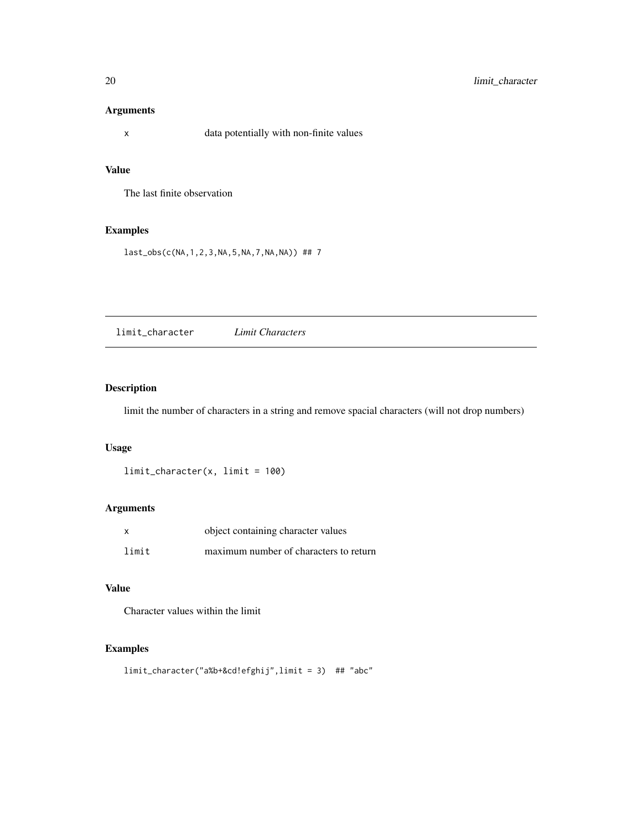# <span id="page-19-0"></span>Arguments

x data potentially with non-finite values

# Value

The last finite observation

# Examples

last\_obs(c(NA,1,2,3,NA,5,NA,7,NA,NA)) ## 7

limit\_character *Limit Characters*

# Description

limit the number of characters in a string and remove spacial characters (will not drop numbers)

#### Usage

limit\_character(x, limit = 100)

# Arguments

| x     | object containing character values     |
|-------|----------------------------------------|
| limit | maximum number of characters to return |

# Value

Character values within the limit

```
limit_character("a%b+&cd!efghij",limit = 3) ## "abc"
```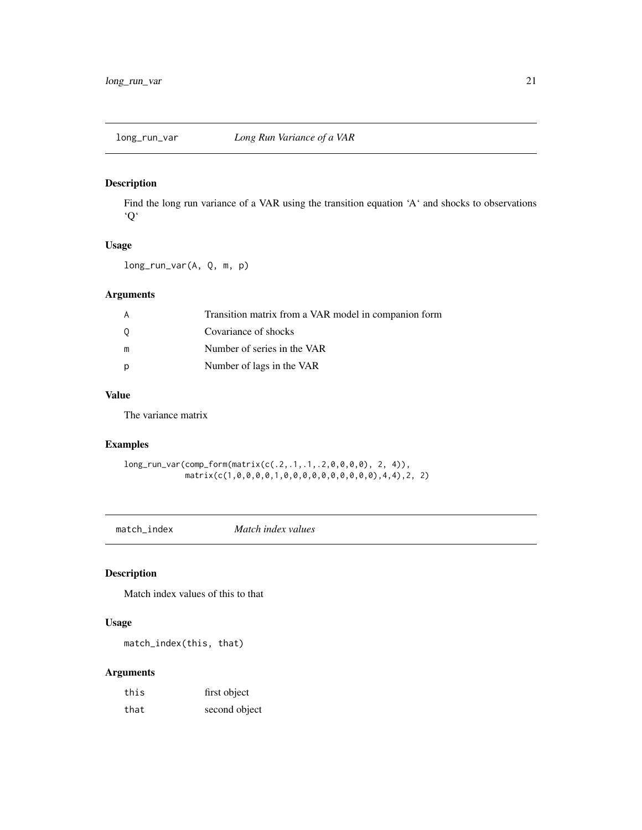<span id="page-20-0"></span>Find the long run variance of a VAR using the transition equation 'A' and shocks to observations 'Q'

#### Usage

long\_run\_var(A, Q, m, p)

# Arguments

| A | Transition matrix from a VAR model in companion form |
|---|------------------------------------------------------|
| 0 | Covariance of shocks                                 |
| m | Number of series in the VAR                          |
| p | Number of lags in the VAR                            |

#### Value

The variance matrix

#### Examples

```
long_run_var(comp_form(matrix(c(.2,.1,.1,.2,0,0,0,0), 2, 4)),
            matrix(c(1,0,0,0,0,1,0,0,0,0,0,0,0,0,0,0),4,4),2, 2)
```
match\_index *Match index values*

# Description

Match index values of this to that

#### Usage

match\_index(this, that)

# Arguments

| this | first object  |
|------|---------------|
| that | second object |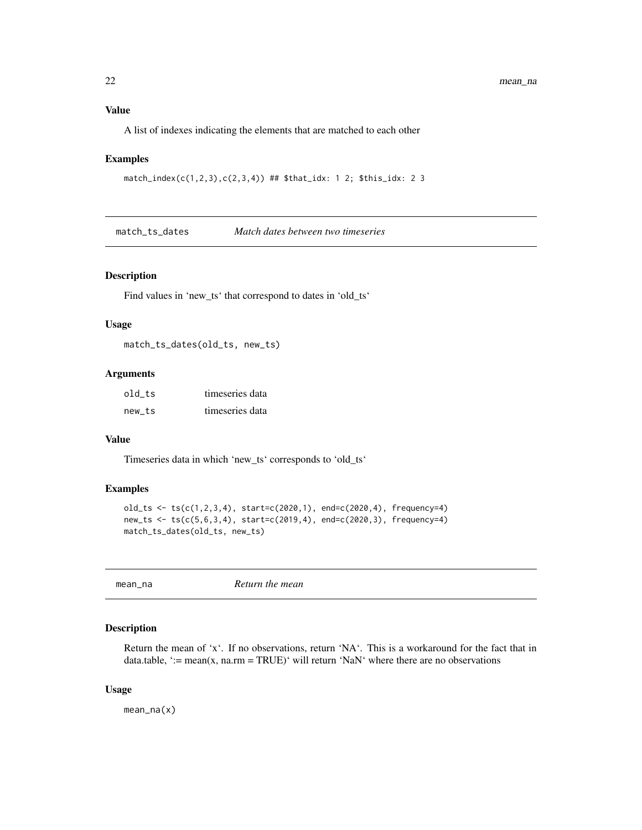#### <span id="page-21-0"></span>Value

A list of indexes indicating the elements that are matched to each other

#### Examples

```
match_index(c(1,2,3),c(2,3,4)) ## $that_idx: 1 2; $this_idx: 2 3
```
match\_ts\_dates *Match dates between two timeseries*

#### Description

Find values in 'new\_ts' that correspond to dates in 'old\_ts'

# Usage

match\_ts\_dates(old\_ts, new\_ts)

#### Arguments

| old ts | timeseries data |
|--------|-----------------|
| new ts | timeseries data |

#### Value

Timeseries data in which 'new\_ts' corresponds to 'old\_ts'

#### Examples

```
old_ts <- ts(c(1,2,3,4), start=c(2020,1), end=c(2020,4), frequency=4)
new_ts <- ts(c(5,6,3,4), start=c(2019,4), end=c(2020,3), frequency=4)
match_ts_dates(old_ts, new_ts)
```
mean\_na *Return the mean*

#### Description

Return the mean of 'x'. If no observations, return 'NA'. This is a workaround for the fact that in data.table, ':= mean(x, na.rm = TRUE)' will return 'NaN' where there are no observations

#### Usage

mean\_na(x)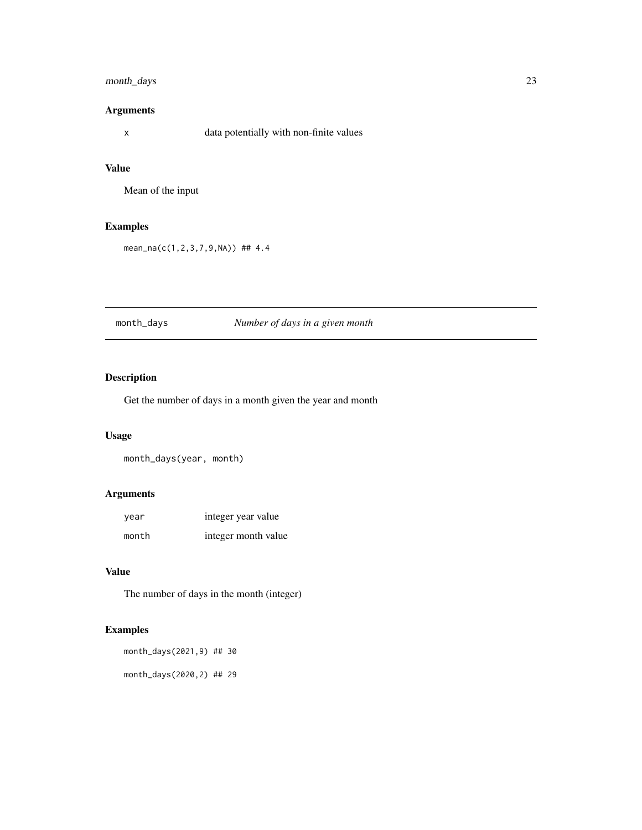# <span id="page-22-0"></span>month\_days 23

# Arguments

x data potentially with non-finite values

# Value

Mean of the input

# Examples

mean\_na(c(1,2,3,7,9,NA)) ## 4.4

# month\_days *Number of days in a given month*

# Description

Get the number of days in a month given the year and month

#### Usage

month\_days(year, month)

# Arguments

| year  | integer year value  |
|-------|---------------------|
| month | integer month value |

# Value

The number of days in the month (integer)

```
month_days(2021,9) ## 30
month_days(2020,2) ## 29
```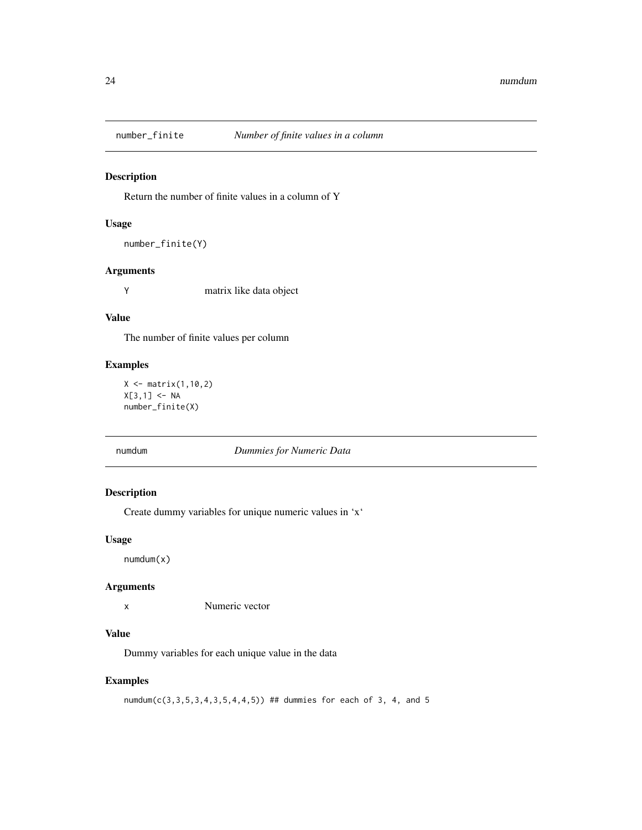<span id="page-23-0"></span>

Return the number of finite values in a column of Y

# Usage

```
number_finite(Y)
```
# Arguments

Y matrix like data object

#### Value

The number of finite values per column

# Examples

 $X \leftarrow matrix(1, 10, 2)$  $X[3,1]$  <- NA number\_finite(X)

#### numdum *Dummies for Numeric Data*

# Description

Create dummy variables for unique numeric values in 'x'

#### Usage

numdum(x)

#### Arguments

x Numeric vector

#### Value

Dummy variables for each unique value in the data

#### Examples

numdum(c(3,3,5,3,4,3,5,4,4,5)) ## dummies for each of 3, 4, and 5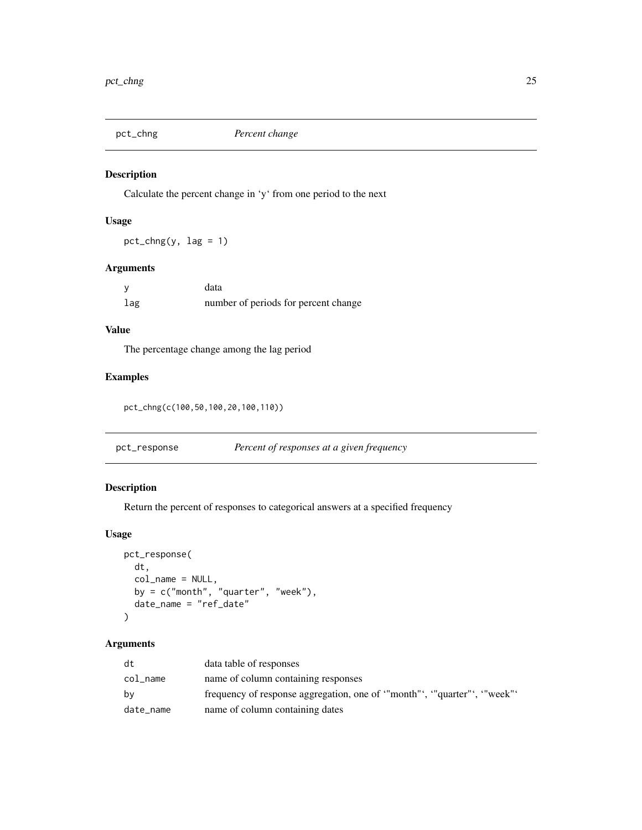<span id="page-24-0"></span>

Calculate the percent change in 'y' from one period to the next

# Usage

 $pct_{chng}(y, lag = 1)$ 

#### Arguments

|     | data                                 |
|-----|--------------------------------------|
| lag | number of periods for percent change |

# Value

The percentage change among the lag period

# Examples

pct\_chng(c(100,50,100,20,100,110))

| pct_response | Percent of responses at a given frequency |  |
|--------------|-------------------------------------------|--|
|              |                                           |  |

# Description

Return the percent of responses to categorical answers at a specified frequency

# Usage

```
pct_response(
 dt,
 col_name = NULL,
 by = c("month", 'vquarter", 'week"),date_name = "ref_date"
)
```
# Arguments

| dt        | data table of responses                                              |
|-----------|----------------------------------------------------------------------|
| col_name  | name of column containing responses                                  |
| bν        | frequency of response aggregation, one of "month", "quarter", "week" |
| date_name | name of column containing dates                                      |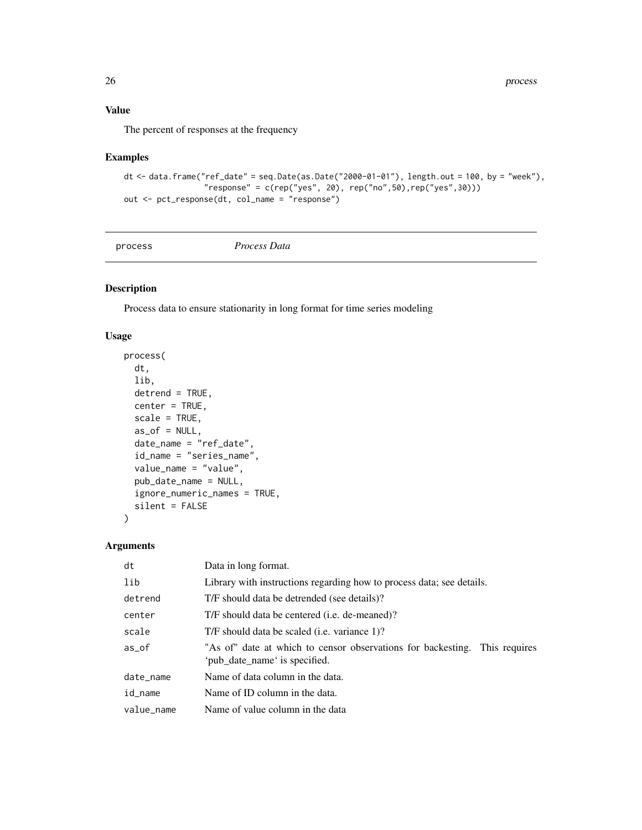# <span id="page-25-0"></span>Value

The percent of responses at the frequency

# Examples

```
dt \le data.frame("ref_date" = seq.Date(as.Date("2000-01-01"), length.out = 100, by = "week"),
                 "response" = c(rep("yes", 20), rep("no", 50), rep("yes", 30)))out <- pct_response(dt, col_name = "response")
```
process *Process Data*

# Description

Process data to ensure stationarity in long format for time series modeling

#### Usage

```
process(
  dt,
  lib,
  detrend = TRUE,
 center = TRUE,
  scale = TRUE,as\_of = NULL,date_name = "ref_date",
  id_name = "series_name",
  value_name = "value",
  pub_date_name = NULL,
  ignore_numeric_names = TRUE,
  silent = FALSE
)
```
# Arguments

| dt         | Data in long format.                                                                                        |
|------------|-------------------------------------------------------------------------------------------------------------|
| lib        | Library with instructions regarding how to process data; see details.                                       |
| detrend    | T/F should data be detrended (see details)?                                                                 |
| center     | T/F should data be centered ( <i>i.e.</i> de-meaned)?                                                       |
| scale      | T/F should data be scaled ( <i>i.e.</i> variance 1)?                                                        |
| $as\_of$   | "As of" date at which to censor observations for backesting. This requires<br>'pub date name' is specified. |
| date_name  | Name of data column in the data.                                                                            |
| id_name    | Name of ID column in the data.                                                                              |
| value_name | Name of value column in the data                                                                            |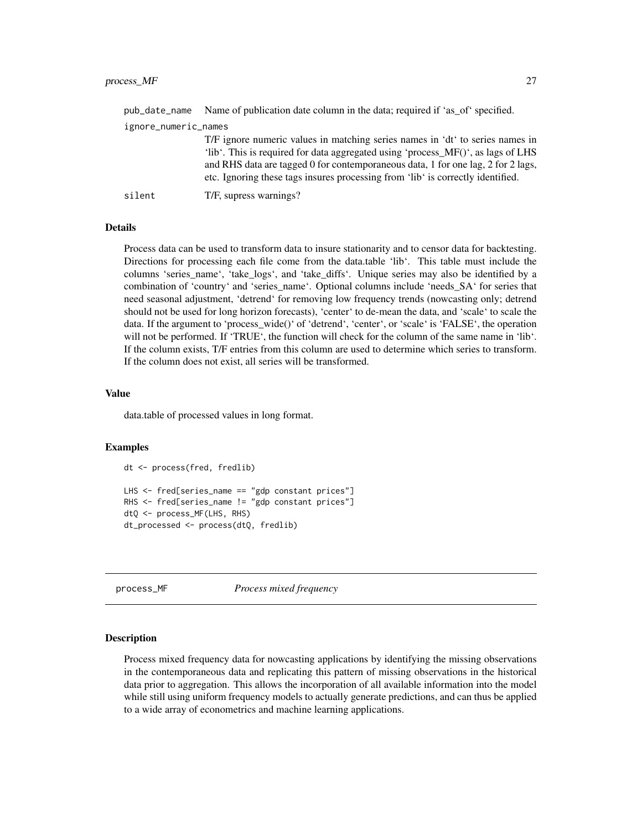<span id="page-26-0"></span>

| pub_date_name        | Name of publication date column in the data; required if 'as of' specified.                                                                                                                                                                                                                                                              |  |
|----------------------|------------------------------------------------------------------------------------------------------------------------------------------------------------------------------------------------------------------------------------------------------------------------------------------------------------------------------------------|--|
| ignore_numeric_names |                                                                                                                                                                                                                                                                                                                                          |  |
|                      | T/F ignore numeric values in matching series names in 'dt' to series names in<br>'lib'. This is required for data aggregated using 'process_MF()', as lags of LHS<br>and RHS data are tagged 0 for contemporaneous data, 1 for one lag, 2 for 2 lags,<br>etc. Ignoring these tags insures processing from 'lib' is correctly identified. |  |
| silent               | T/F, supress warnings?                                                                                                                                                                                                                                                                                                                   |  |

#### **Details**

Process data can be used to transform data to insure stationarity and to censor data for backtesting. Directions for processing each file come from the data.table 'lib'. This table must include the columns 'series\_name', 'take\_logs', and 'take\_diffs'. Unique series may also be identified by a combination of 'country' and 'series\_name'. Optional columns include 'needs\_SA' for series that need seasonal adjustment, 'detrend' for removing low frequency trends (nowcasting only; detrend should not be used for long horizon forecasts), 'center' to de-mean the data, and 'scale' to scale the data. If the argument to 'process\_wide()' of 'detrend', 'center', or 'scale' is 'FALSE', the operation will not be performed. If 'TRUE', the function will check for the column of the same name in 'lib'. If the column exists, T/F entries from this column are used to determine which series to transform. If the column does not exist, all series will be transformed.

#### Value

data.table of processed values in long format.

#### Examples

```
dt <- process(fred, fredlib)
LHS <- fred[series_name == "gdp constant prices"]
RHS <- fred[series_name != "gdp constant prices"]
dtQ <- process_MF(LHS, RHS)
dt_processed <- process(dtQ, fredlib)
```
process\_MF *Process mixed frequency*

#### Description

Process mixed frequency data for nowcasting applications by identifying the missing observations in the contemporaneous data and replicating this pattern of missing observations in the historical data prior to aggregation. This allows the incorporation of all available information into the model while still using uniform frequency models to actually generate predictions, and can thus be applied to a wide array of econometrics and machine learning applications.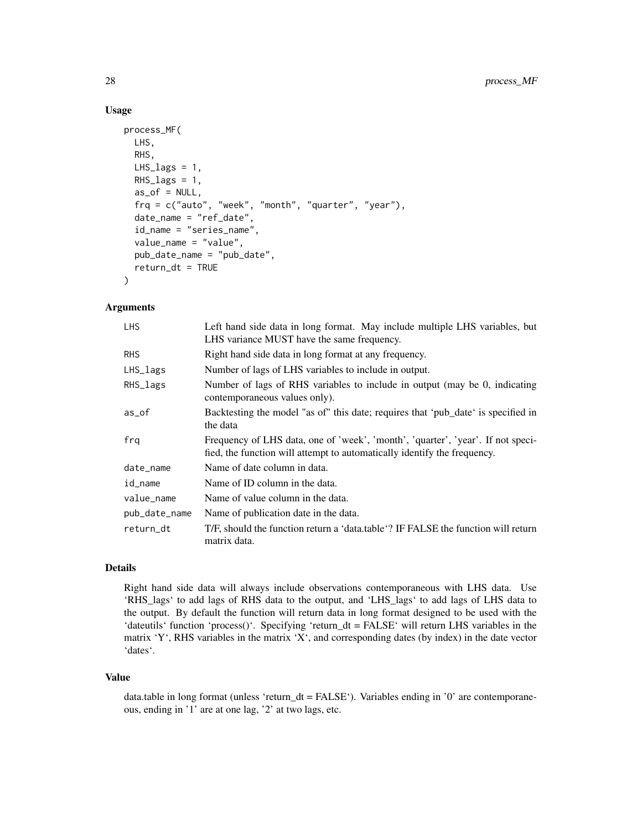#### Usage

```
process_MF(
 LHS,
  RHS,
  LHS\_lags = 1,
  RHS_lags = 1,
  as_of = NULL,frq = c("auto", "week", "month", "quarter", "year"),
  date_name = "ref_date",
  id_name = "series_name",
  value_name = "value",
  pub_date_name = "pub_date",
  return_d t = TRUE)
```
#### Arguments

| <b>LHS</b>    | Left hand side data in long format. May include multiple LHS variables, but<br>LHS variance MUST have the same frequency.                                   |
|---------------|-------------------------------------------------------------------------------------------------------------------------------------------------------------|
| <b>RHS</b>    | Right hand side data in long format at any frequency.                                                                                                       |
| LHS_lags      | Number of lags of LHS variables to include in output.                                                                                                       |
| RHS_lags      | Number of lags of RHS variables to include in output (may be 0, indicating<br>contemporaneous values only).                                                 |
| as_of         | Backtesting the model "as of" this date; requires that 'pub_date' is specified in<br>the data                                                               |
| fra           | Frequency of LHS data, one of 'week', 'month', 'quarter', 'year'. If not speci-<br>fied, the function will attempt to automatically identify the frequency. |
| date_name     | Name of date column in data.                                                                                                                                |
| id_name       | Name of ID column in the data.                                                                                                                              |
| value_name    | Name of value column in the data.                                                                                                                           |
| pub_date_name | Name of publication date in the data.                                                                                                                       |
| return_dt     | T/F, should the function return a 'data.table'? IF FALSE the function will return<br>matrix data.                                                           |

#### Details

Right hand side data will always include observations contemporaneous with LHS data. Use 'RHS\_lags' to add lags of RHS data to the output, and 'LHS\_lags' to add lags of LHS data to the output. By default the function will return data in long format designed to be used with the 'dateutils' function 'process()'. Specifying 'return\_dt = FALSE' will return LHS variables in the matrix 'Y', RHS variables in the matrix 'X', and corresponding dates (by index) in the date vector 'dates'.

#### Value

data.table in long format (unless 'return\_dt = FALSE'). Variables ending in '0' are contemporaneous, ending in '1' are at one lag, '2' at two lags, etc.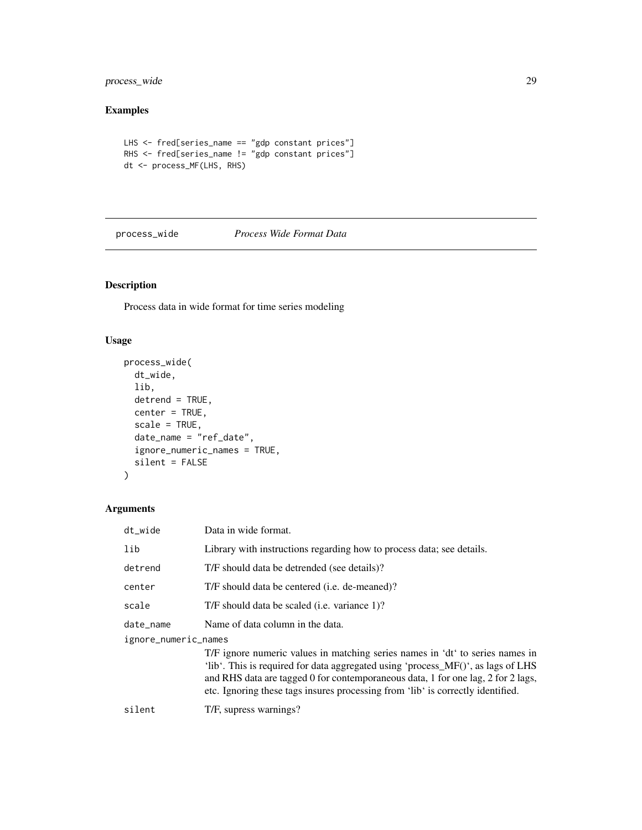<span id="page-28-0"></span>process\_wide 29

# Examples

```
LHS <- fred[series_name == "gdp constant prices"]
RHS <- fred[series_name != "gdp constant prices"]
dt <- process_MF(LHS, RHS)
```
process\_wide *Process Wide Format Data*

# Description

Process data in wide format for time series modeling

# Usage

```
process_wide(
  dt_wide,
  lib,
  detrend = TRUE,
  center = TRUE,
  scale = TRUE,
  date_name = "ref_date",
  ignore_numeric_names = TRUE,
  silent = FALSE
)
```
# Arguments

| dt_wide              | Data in wide format.                                                                                                                                                                                                                                                                                                                     |  |
|----------------------|------------------------------------------------------------------------------------------------------------------------------------------------------------------------------------------------------------------------------------------------------------------------------------------------------------------------------------------|--|
| lib                  | Library with instructions regarding how to process data; see details.                                                                                                                                                                                                                                                                    |  |
| detrend              | T/F should data be detrended (see details)?                                                                                                                                                                                                                                                                                              |  |
| center               | T/F should data be centered ( <i>i.e.</i> de-meaned)?                                                                                                                                                                                                                                                                                    |  |
| scale                | T/F should data be scaled ( <i>i.e.</i> variance 1)?                                                                                                                                                                                                                                                                                     |  |
| date_name            | Name of data column in the data.                                                                                                                                                                                                                                                                                                         |  |
| ignore_numeric_names |                                                                                                                                                                                                                                                                                                                                          |  |
|                      | T/F ignore numeric values in matching series names in 'dt' to series names in<br>'lib'. This is required for data aggregated using 'process_MF()', as lags of LHS<br>and RHS data are tagged 0 for contemporaneous data, 1 for one lag, 2 for 2 lags,<br>etc. Ignoring these tags insures processing from 'lib' is correctly identified. |  |
| silent               | T/F, supress warnings?                                                                                                                                                                                                                                                                                                                   |  |
|                      |                                                                                                                                                                                                                                                                                                                                          |  |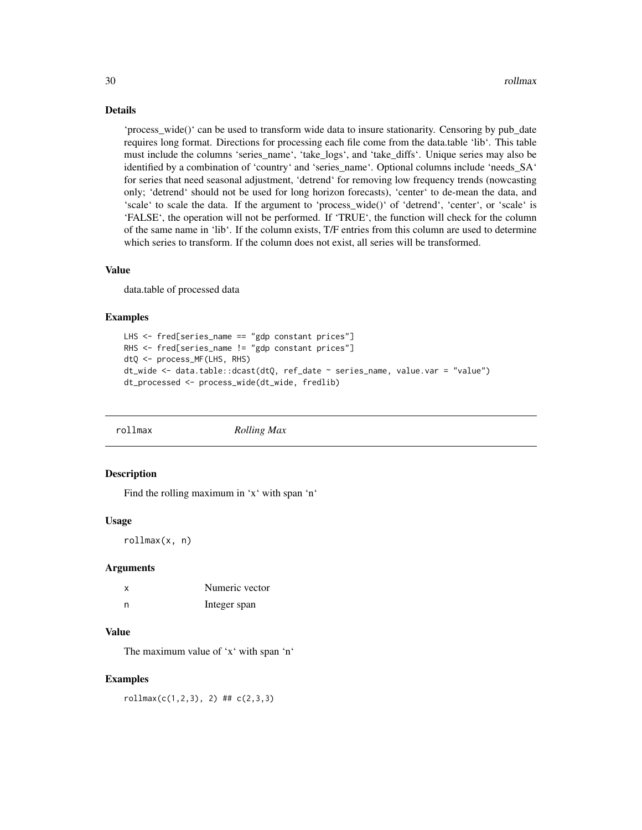#### Details

'process\_wide()' can be used to transform wide data to insure stationarity. Censoring by pub\_date requires long format. Directions for processing each file come from the data.table 'lib'. This table must include the columns 'series\_name', 'take\_logs', and 'take\_diffs'. Unique series may also be identified by a combination of 'country' and 'series\_name'. Optional columns include 'needs\_SA' for series that need seasonal adjustment, 'detrend' for removing low frequency trends (nowcasting only; 'detrend' should not be used for long horizon forecasts), 'center' to de-mean the data, and 'scale' to scale the data. If the argument to 'process\_wide()' of 'detrend', 'center', or 'scale' is 'FALSE', the operation will not be performed. If 'TRUE', the function will check for the column of the same name in 'lib'. If the column exists, T/F entries from this column are used to determine which series to transform. If the column does not exist, all series will be transformed.

#### Value

data.table of processed data

#### Examples

```
LHS <- fred[series_name == "gdp constant prices"]
RHS <- fred[series_name != "gdp constant prices"]
dtQ <- process_MF(LHS, RHS)
dt_wide <- data.table::dcast(dtQ, ref_date ~ series_name, value.var = "value")
dt_processed <- process_wide(dt_wide, fredlib)
```
rollmax *Rolling Max*

#### **Description**

Find the rolling maximum in 'x' with span 'n'

#### Usage

rollmax(x, n)

#### Arguments

| x | Numeric vector |
|---|----------------|
| n | Integer span   |

#### Value

The maximum value of 'x' with span 'n'

#### Examples

 $rollmax(c(1,2,3), 2)$  ##  $c(2,3,3)$ 

<span id="page-29-0"></span>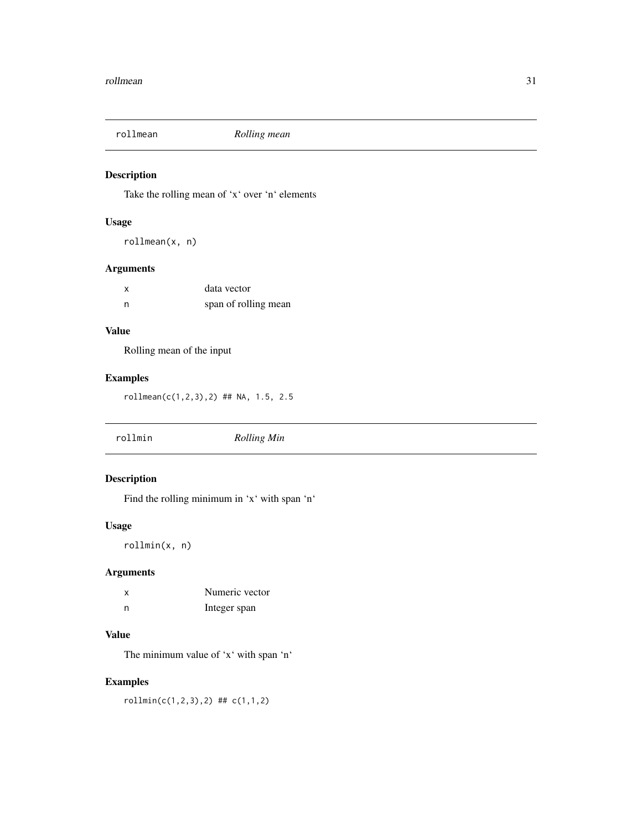<span id="page-30-0"></span>

Take the rolling mean of 'x' over 'n' elements

# Usage

rollmean(x, n)

# Arguments

| $\boldsymbol{\mathsf{x}}$ | data vector          |
|---------------------------|----------------------|
| n                         | span of rolling mean |

# Value

Rolling mean of the input

# Examples

rollmean(c(1,2,3),2) ## NA, 1.5, 2.5

rollmin *Rolling Min*

# Description

Find the rolling minimum in 'x' with span 'n'

# Usage

rollmin(x, n)

# Arguments

| X | Numeric vector |
|---|----------------|
| n | Integer span   |

# Value

The minimum value of 'x' with span 'n'

# Examples

rollmin(c(1,2,3),2) ## c(1,1,2)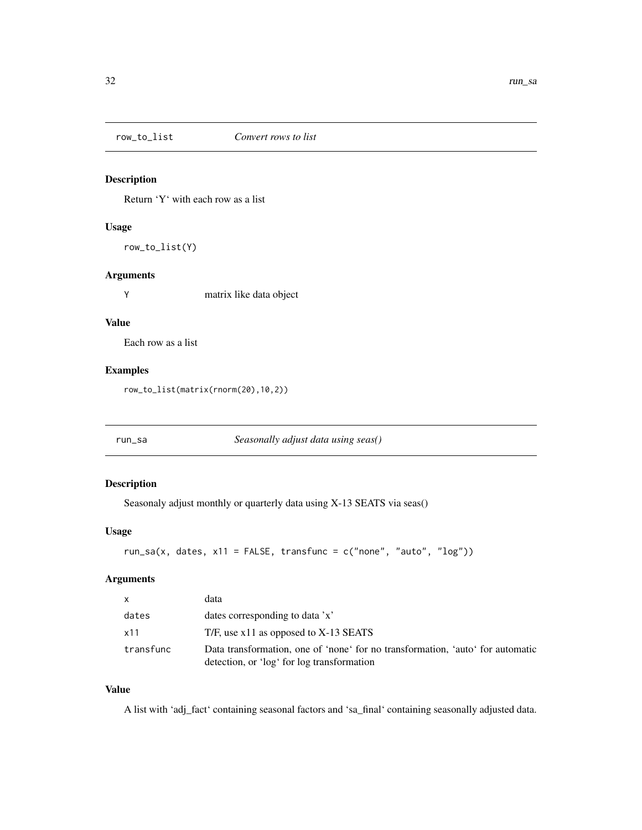<span id="page-31-0"></span>

Return 'Y' with each row as a list

# Usage

row\_to\_list(Y)

# Arguments

Y matrix like data object

# Value

Each row as a list

#### Examples

row\_to\_list(matrix(rnorm(20),10,2))

run\_sa *Seasonally adjust data using seas()*

# Description

Seasonaly adjust monthly or quarterly data using X-13 SEATS via seas()

#### Usage

```
run_sa(x, dates, x11 = FALSE, transfunc = c("none", "auto", "log"))
```
# Arguments

| $\mathsf{x}$ | data                                                                                                                         |
|--------------|------------------------------------------------------------------------------------------------------------------------------|
| dates        | dates corresponding to data 'x'                                                                                              |
| x11          | T/F, use $x11$ as opposed to $X-13$ SEATS                                                                                    |
| transfunc    | Data transformation, one of 'none' for no transformation, 'auto' for automatic<br>detection, or 'log' for log transformation |

## Value

A list with 'adj\_fact' containing seasonal factors and 'sa\_final' containing seasonally adjusted data.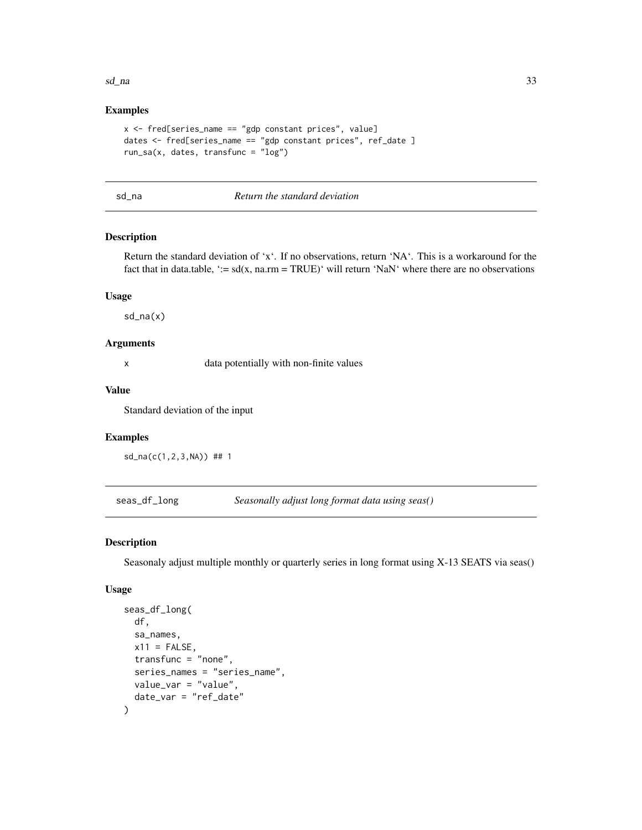#### <span id="page-32-0"></span> $sd\_na$  33

#### Examples

```
x <- fred[series_name == "gdp constant prices", value]
dates <- fred[series_name == "gdp constant prices", ref_date ]
run_sa(x, dates, transfunc = "log")
```

| ٧<br>__ |
|---------|
|---------|

#### a *Return the standard deviation*

# Description

Return the standard deviation of 'x'. If no observations, return 'NA'. This is a workaround for the fact that in data.table, ':=  $sd(x, na.rm = TRUE)'$  will return 'NaN' where there are no observations

#### Usage

sd\_na(x)

#### Arguments

x data potentially with non-finite values

#### Value

Standard deviation of the input

# Examples

sd\_na(c(1,2,3,NA)) ## 1

seas\_df\_long *Seasonally adjust long format data using seas()*

#### Description

Seasonaly adjust multiple monthly or quarterly series in long format using X-13 SEATS via seas()

#### Usage

```
seas_df_long(
  df,
  sa_names,
 x11 =FALSE,
  transfunc = "none",
  series_names = "series_name",
 value_var = "value",
  date_var = "ref_date"
)
```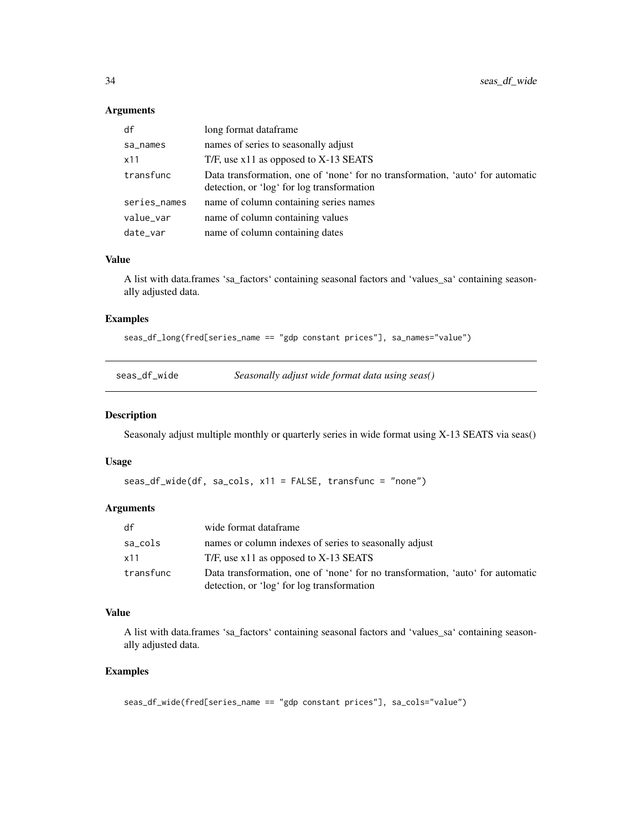#### Arguments

| df           | long format dataframe                                                                                                        |
|--------------|------------------------------------------------------------------------------------------------------------------------------|
| sa_names     | names of series to seasonally adjust                                                                                         |
| x11          | T/F, use $x11$ as opposed to $X-13$ SEATS                                                                                    |
| transfunc    | Data transformation, one of 'none' for no transformation, 'auto' for automatic<br>detection, or 'log' for log transformation |
| series_names | name of column containing series names                                                                                       |
| value_var    | name of column containing values                                                                                             |
| date_var     | name of column containing dates                                                                                              |

# Value

A list with data.frames 'sa\_factors' containing seasonal factors and 'values\_sa' containing seasonally adjusted data.

#### Examples

```
seas_df_long(fred[series_name == "gdp constant prices"], sa_names="value")
```

| seas df wide |  |  |
|--------------|--|--|
|              |  |  |
|              |  |  |
|              |  |  |

Seasonally adjust wide format data using seas()

#### Description

Seasonaly adjust multiple monthly or quarterly series in wide format using X-13 SEATS via seas()

# Usage

```
seas_df_wide(df, sa_cols, x11 = FALSE, transfunc = "none")
```
#### Arguments

| df        | wide format dataframe                                                          |
|-----------|--------------------------------------------------------------------------------|
| sa_cols   | names or column indexes of series to seasonally adjust                         |
| x11       | T/F, use $x11$ as opposed to X-13 SEATS                                        |
| transfunc | Data transformation, one of 'none' for no transformation, 'auto' for automatic |
|           | detection, or 'log' for log transformation                                     |

#### Value

A list with data.frames 'sa\_factors' containing seasonal factors and 'values\_sa' containing seasonally adjusted data.

```
seas_df_wide(fred[series_name == "gdp constant prices"], sa_cols="value")
```
<span id="page-33-0"></span>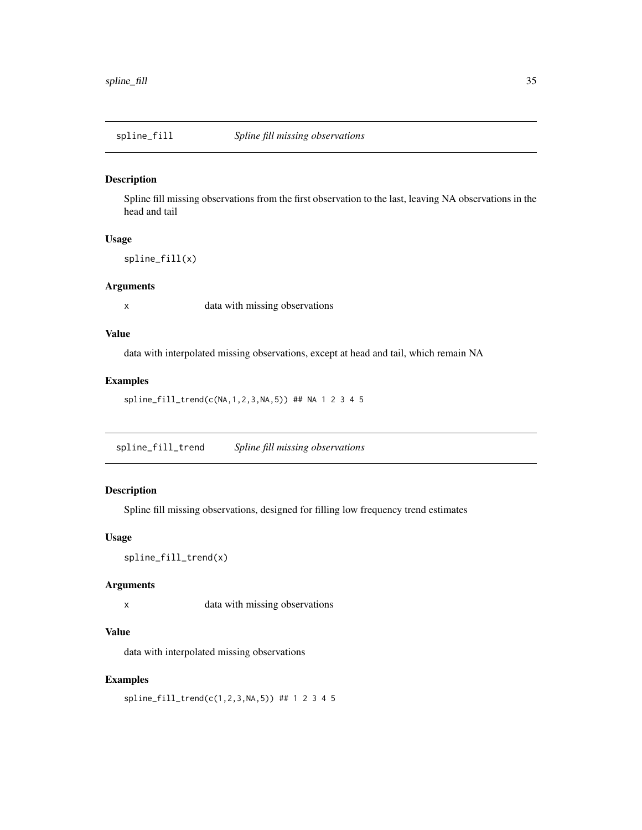<span id="page-34-0"></span>

Spline fill missing observations from the first observation to the last, leaving NA observations in the head and tail

# Usage

spline\_fill(x)

#### Arguments

x data with missing observations

#### Value

data with interpolated missing observations, except at head and tail, which remain NA

#### Examples

```
spline_fill_trend(c(NA,1,2,3,NA,5)) ## NA 1 2 3 4 5
```
spline\_fill\_trend *Spline fill missing observations*

# Description

Spline fill missing observations, designed for filling low frequency trend estimates

#### Usage

```
spline_fill_trend(x)
```
#### Arguments

x data with missing observations

# Value

data with interpolated missing observations

# Examples

spline\_fill\_trend(c(1,2,3,NA,5)) ## 1 2 3 4 5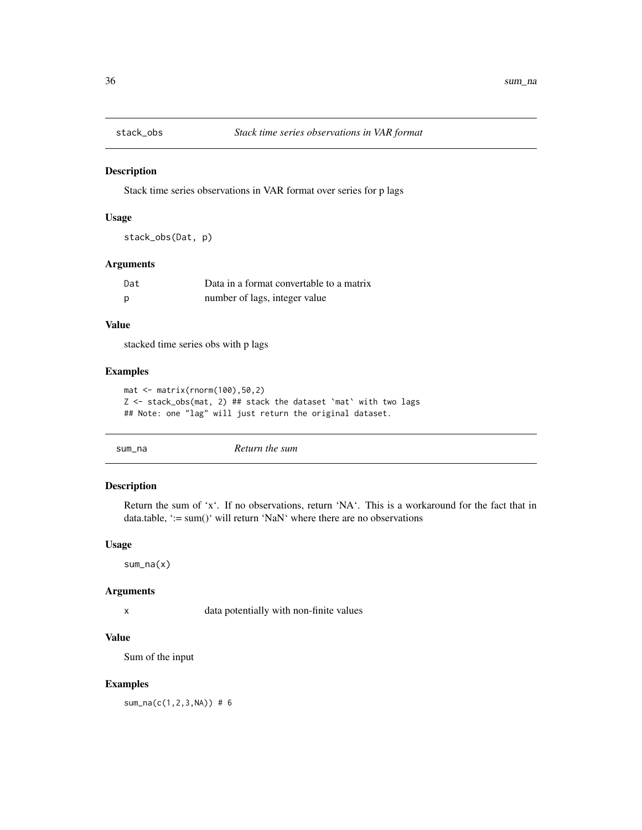<span id="page-35-0"></span>

Stack time series observations in VAR format over series for p lags

#### Usage

stack\_obs(Dat, p)

#### Arguments

| Dat          | Data in a format convertable to a matrix |
|--------------|------------------------------------------|
| <sub>p</sub> | number of lags, integer value            |

#### Value

stacked time series obs with p lags

#### Examples

```
mat <- matrix(rnorm(100),50,2)
Z <- stack_obs(mat, 2) ## stack the dataset `mat` with two lags
## Note: one "lag" will just return the original dataset.
```
sum\_na *Return the sum*

#### Description

Return the sum of 'x'. If no observations, return 'NA'. This is a workaround for the fact that in data.table, ':= sum()' will return 'NaN' where there are no observations

#### Usage

sum\_na(x)

#### Arguments

x data potentially with non-finite values

#### Value

Sum of the input

# Examples

sum\_na(c(1,2,3,NA)) # 6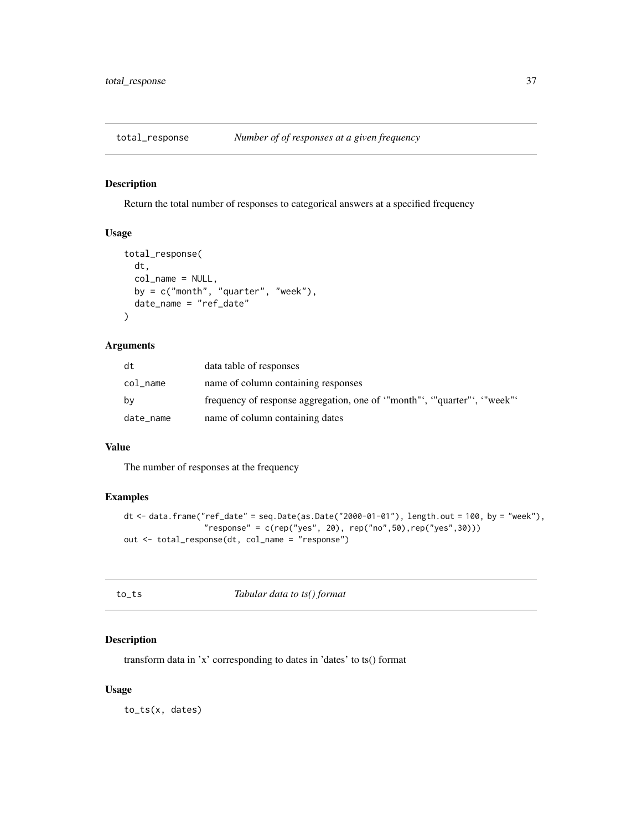<span id="page-36-0"></span>

Return the total number of responses to categorical answers at a specified frequency

#### Usage

```
total_response(
 dt,
 col_name = NULL,
 by = c("month", "quarter", "week"),
 date_name = "ref_date"
)
```
# Arguments

| dt        | data table of responses                                              |
|-----------|----------------------------------------------------------------------|
| col_name  | name of column containing responses                                  |
| bv        | frequency of response aggregation, one of "month", "quarter", "week" |
| date_name | name of column containing dates                                      |

#### Value

The number of responses at the frequency

# Examples

```
dt \le - data.frame("ref_date" = seq.Date(as.Date("2000-01-01"), length.out = 100, by = "week"),
                 "response" = c(rep("yes", 20), rep("no", 50), rep("yes", 30)))out <- total_response(dt, col_name = "response")
```
to *Tabular data to ts() format* 

# Description

transform data in 'x' corresponding to dates in 'dates' to ts() format

#### Usage

to\_ts(x, dates)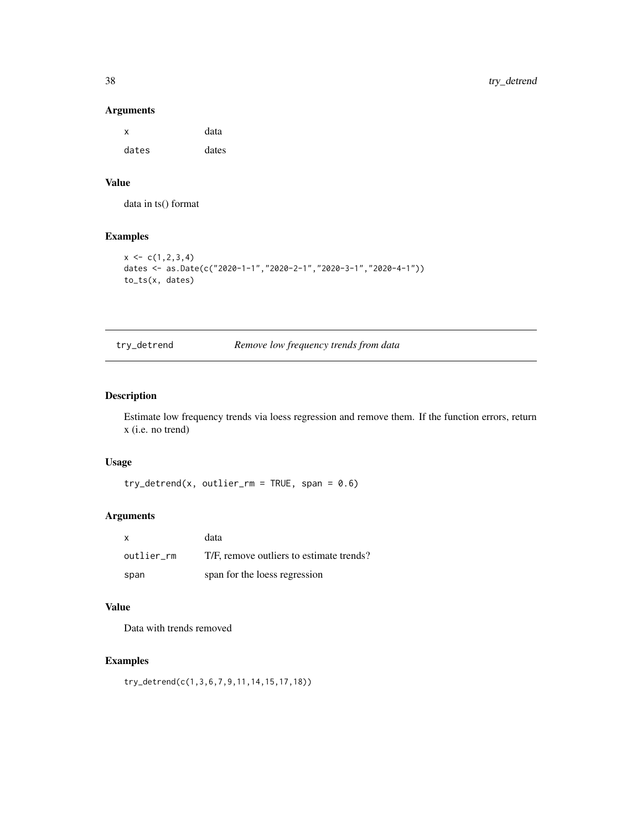#### Arguments

| x     | data  |
|-------|-------|
| dates | dates |

# Value

data in ts() format

# Examples

```
x \leftarrow c(1, 2, 3, 4)dates <- as.Date(c("2020-1-1","2020-2-1","2020-3-1","2020-4-1"))
to_ts(x, dates)
```
try\_detrend *Remove low frequency trends from data*

# Description

Estimate low frequency trends via loess regression and remove them. If the function errors, return x (i.e. no trend)

#### Usage

 $try\_determined(x, outlier\_rm = TRUE, span = 0.6)$ 

# Arguments

| X          | data                                     |
|------------|------------------------------------------|
| outlier rm | T/F, remove outliers to estimate trends? |
| span       | span for the loess regression            |

# Value

Data with trends removed

# Examples

try\_detrend(c(1,3,6,7,9,11,14,15,17,18))

<span id="page-37-0"></span>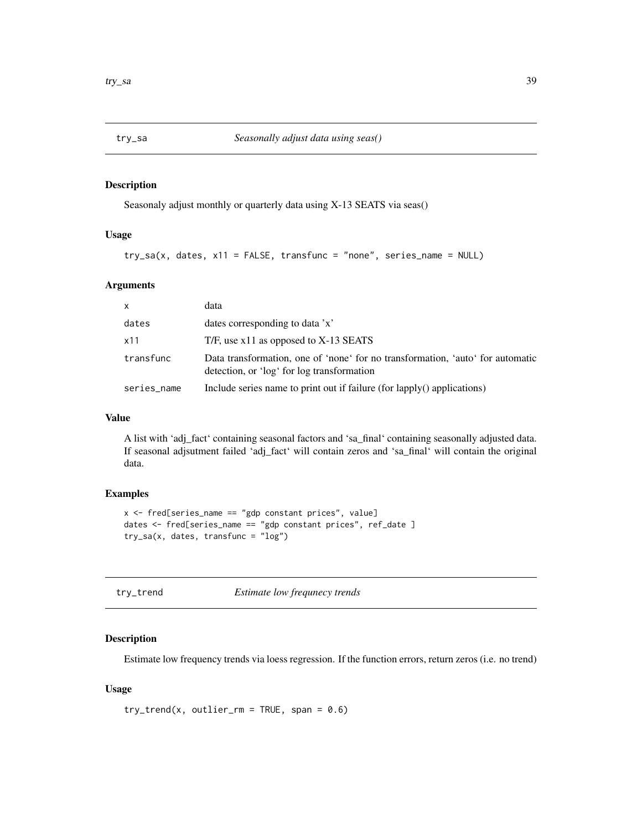<span id="page-38-0"></span>

Seasonaly adjust monthly or quarterly data using X-13 SEATS via seas()

#### Usage

```
try\_sa(x, dates, x11 = FALSE, transfer, un is a 2.5
```
#### Arguments

| $\mathsf{x}$ | data                                                                                                                         |
|--------------|------------------------------------------------------------------------------------------------------------------------------|
| dates        | dates corresponding to data 'x'                                                                                              |
| x11          | T/F, use $x11$ as opposed to X-13 SEATS                                                                                      |
| transfunc    | Data transformation, one of 'none' for no transformation, 'auto' for automatic<br>detection, or 'log' for log transformation |
| series_name  | Include series name to print out if failure (for lapply() applications)                                                      |

#### Value

A list with 'adj\_fact' containing seasonal factors and 'sa\_final' containing seasonally adjusted data. If seasonal adjsutment failed 'adj\_fact' will contain zeros and 'sa\_final' will contain the original data.

#### Examples

```
x <- fred[series_name == "gdp constant prices", value]
dates <- fred[series_name == "gdp constant prices", ref_date ]
try_sa(x, dates, transfunc = "log")
```
try\_trend *Estimate low frequnecy trends*

#### Description

Estimate low frequency trends via loess regression. If the function errors, return zeros (i.e. no trend)

#### Usage

```
try\_trend(x, outlier\_rm = TRUE, span = 0.6)
```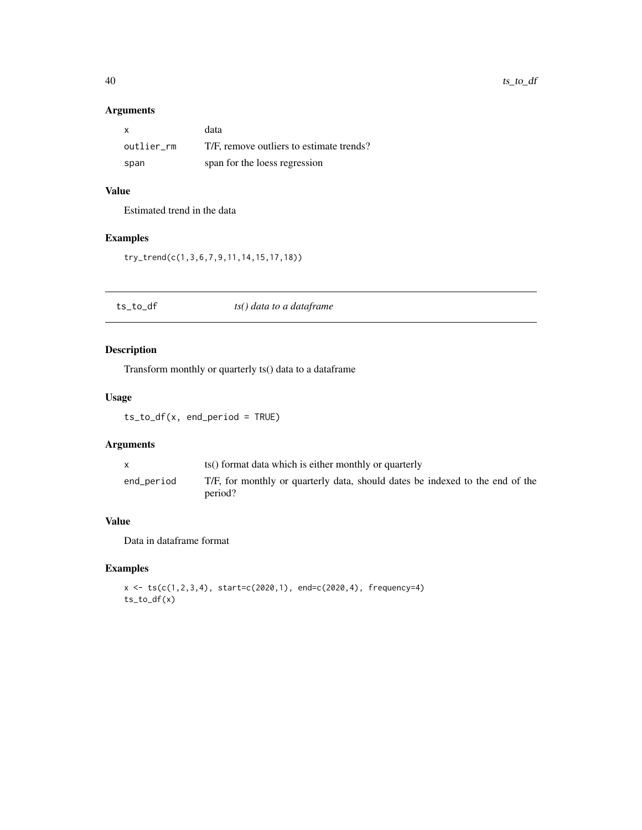# <span id="page-39-0"></span>Arguments

| X          | data                                     |
|------------|------------------------------------------|
| outlier rm | T/F, remove outliers to estimate trends? |
| span       | span for the loess regression            |

# Value

Estimated trend in the data

# Examples

try\_trend(c(1,3,6,7,9,11,14,15,17,18))

| ts_to_df | ts() data to a dataframe |  |
|----------|--------------------------|--|
|----------|--------------------------|--|

# Description

Transform monthly or quarterly ts() data to a dataframe

# Usage

ts\_to\_df(x, end\_period = TRUE)

# Arguments

| X          | ts() format data which is either monthly or quarterly                                    |
|------------|------------------------------------------------------------------------------------------|
| end_period | T/F, for monthly or quarterly data, should dates be indexed to the end of the<br>period? |

# Value

Data in dataframe format

```
x \leq ts(c(1,2,3,4), start=c(2020,1), end=c(2020,4), frequency=4)ts_to_df(x)
```